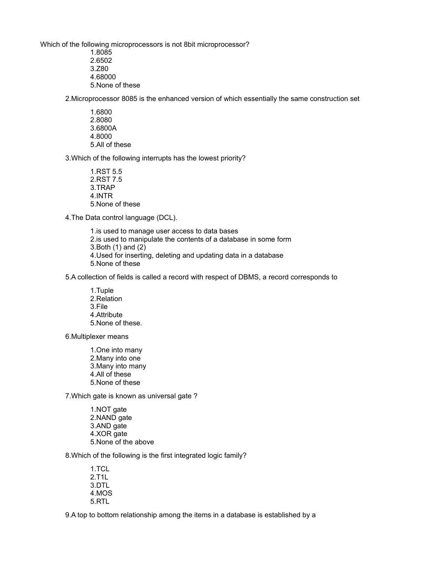Which of the following microprocessors is not 8bit microprocessor?

- 1.8085 2.6502 3.Z80
- 4.68000
- 5.None of these

2.Microprocessor 8085 is the enhanced version of which essentially the same construction set

1.6800 2.8080 3.6800A 4.8000 5.All of these

3.Which of the following interrupts has the lowest priority?

- 1.RST 5.5 2.RST 7.5 3.TRAP 4.INTR 5.None of these
- 4.The Data control language (DCL).
	- 1.is used to manage user access to data bases 2.is used to manipulate the contents of a database in some form 3.Both (1) and (2) 4.Used for inserting, deleting and updating data in a database 5.None of these

5.A collection of fields is called a record with respect of DBMS, a record corresponds to

1.Tuple 2.Relation 3.File 4.Attribute 5.None of these.

6.Multiplexer means

1.One into many 2.Many into one 3.Many into many 4.All of these 5.None of these

7.Which gate is known as universal gate ?

1.NOT gate 2.NAND gate 3.AND gate 4.XOR gate 5.None of the above

8.Which of the following is the first integrated logic family?

1.TCL 2.T1L 3.DTL 4.MOS 5.RTL

9.A top to bottom relationship among the items in a database is established by a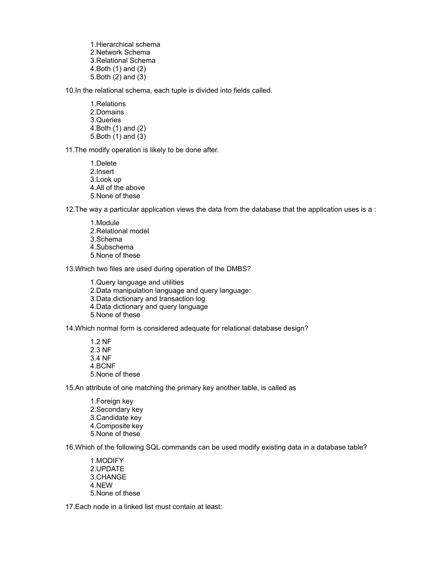1.Hierarchical schema 2.Network Schema 3.Relational Schema 4.Both (1) and (2) 5.Both (2) and (3)

10.In the relational schema, each tuple is divided into fields called.

1.Relations 2.Domains 3.Queries 4.Both (1) and (2) 5.Both (1) and (3)

11.The modify operation is likely to be done after.

1.Delete 2.Insert 3.Look up 4.All of the above 5.None of these

12.The way a particular application views the data from the database that the application uses is a :

1.Module 2.Relational model 3.Schema 4.Subschema 5.None of these

13.Which two files are used during operation of the DMBS?

1.Query language and utilities 2.Data manipulation language and query language: 3.Data dictionary and transaction log 4.Data dictionary and query language 5.None of these

14.Which normal form is considered adequate for relational database design?

1.2 NF 2.3 NF 3.4 NF 4.BCNF 5.None of these

15.An attribute of one matching the primary key another table, is called as

1.Foreign key 2.Secondary key 3.Candidate key 4.Composite key 5.None of these

16.Which of the following SQL commands can be used modify existing data in a database table?

1.MODIFY 2.UPDATE 3.CHANGE 4.NEW 5.None of these

17.Each node in a linked list must contain at least: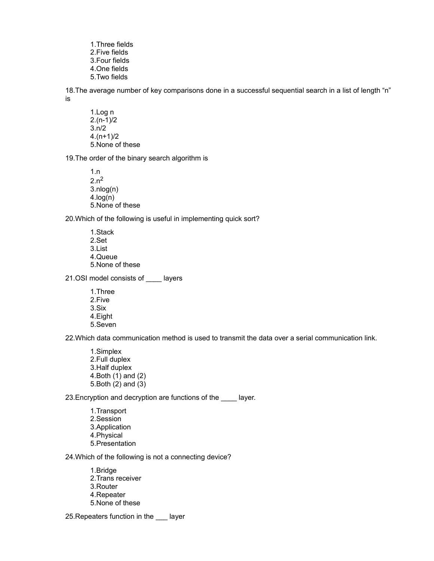1.Three fields 2.Five fields 3.Four fields 4.One fields 5.Two fields

18.The average number of key comparisons done in a successful sequential search in a list of length "n" is

1.Log n 2.(n-1)/2  $3.n/2$ 4.(n+1)/2 5.None of these

19.The order of the binary search algorithm is

1.n  $2.n<sup>2</sup>$ 3.nlog(n) 4.log(n) 5.None of these

20.Which of the following is useful in implementing quick sort?

1.Stack 2.Set 3.List 4.Queue 5.None of these

21.OSI model consists of \_\_\_\_ layers

1.Three 2.Five 3.Six 4.Eight 5.Seven

22.Which data communication method is used to transmit the data over a serial communication link.

1.Simplex 2.Full duplex 3.Half duplex 4.Both (1) and (2) 5.Both (2) and (3)

23. Encryption and decryption are functions of the \_\_\_\_ layer.

1.Transport 2.Session 3.Application 4.Physical 5.Presentation

24.Which of the following is not a connecting device?

- 1.Bridge 2.Trans receiver 3.Router 4.Repeater 5.None of these
- 25.Repeaters function in the \_\_\_ layer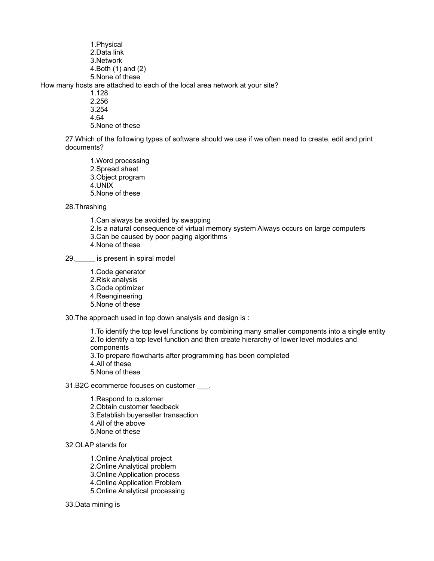1.Physical 2.Data link 3.Network 4.Both (1) and (2) 5.None of these

How many hosts are attached to each of the local area network at your site?

- 1.128
- 2.256
- 3.254
- 4.64

5.None of these

27.Which of the following types of software should we use if we often need to create, edit and print documents?

1.Word processing 2.Spread sheet 3.Object program 4.UNIX 5.None of these

28.Thrashing

1.Can always be avoided by swapping 2.Is a natural consequence of virtual memory system Always occurs on large computers 3.Can be caused by poor paging algorithms 4.None of these

29. is present in spiral model

1.Code generator 2.Risk analysis 3.Code optimizer 4.Reengineering 5.None of these

30.The approach used in top down analysis and design is :

1.To identify the top level functions by combining many smaller components into a single entity 2.To identify a top level function and then create hierarchy of lower level modules and components

3.To prepare flowcharts after programming has been completed

- 4.All of these
- 5.None of these

31.B2C ecommerce focuses on customer \_\_\_.

1.Respond to customer 2.Obtain customer feedback 3.Establish buyerseller transaction 4.All of the above 5.None of these

32.OLAP stands for

- 1.Online Analytical project
- 2.Online Analytical problem
- 3.Online Application process
- 4.Online Application Problem
- 5.Online Analytical processing

33.Data mining is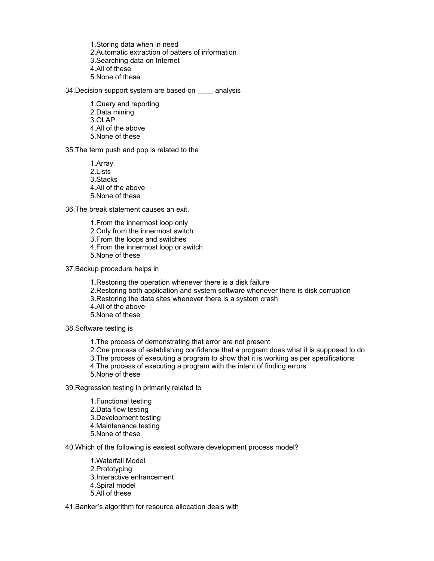1.Storing data when in need 2.Automatic extraction of patters of information 3.Searching data on Internet 4.All of these 5.None of these

34. Decision support system are based on analysis

1.Query and reporting 2.Data mining 3.OLAP 4.All of the above 5.None of these

35.The term push and pop is related to the

1.Array 2.Lists 3.Stacks 4.All of the above 5.None of these

36.The break statement causes an exit.

1.From the innermost loop only 2.Only from the innermost switch 3.From the loops and switches 4.From the innermost loop or switch 5.None of these

37.Backup procedure helps in

1.Restoring the operation whenever there is a disk failure 2.Restoring both application and system software whenever there is disk corruption 3.Restoring the data sites whenever there is a system crash 4.All of the above 5.None of these

38.Software testing is

- 1.The process of demonstrating that error are not present
- 2.One process of establishing confidence that a program does what it is supposed to do
- 3.The process of executing a program to show that it is working as per specifications
- 4.The process of executing a program with the intent of finding errors
- 5.None of these

39.Regression testing in primarily related to

1.Functional testing 2.Data flow testing 3.Development testing 4.Maintenance testing 5.None of these

40.Which of the following is easiest software development process model?

1.Waterfall Model 2.Prototyping 3.Interactive enhancement 4.Spiral model 5.All of these

41.Banker's algorithm for resource allocation deals with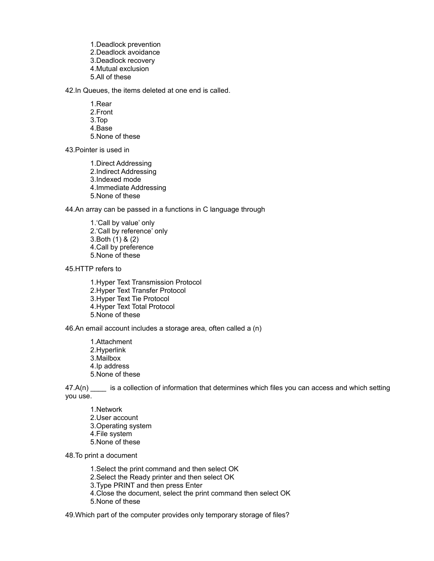1.Deadlock prevention 2.Deadlock avoidance 3.Deadlock recovery 4.Mutual exclusion 5.All of these

42.In Queues, the items deleted at one end is called.

1.Rear 2.Front 3.Top 4.Base 5.None of these

43.Pointer is used in

1.Direct Addressing 2.Indirect Addressing 3.Indexed mode 4.Immediate Addressing 5.None of these

44.An array can be passed in a functions in C language through

1.'Call by value' only 2.'Call by reference' only 3.Both (1) & (2) 4.Call by preference 5.None of these

45.HTTP refers to

1.Hyper Text Transmission Protocol 2.Hyper Text Transfer Protocol 3.Hyper Text Tie Protocol 4.Hyper Text Total Protocol 5.None of these

46.An email account includes a storage area, often called a (n)

1.Attachment 2.Hyperlink 3.Mailbox 4.Ip address 5.None of these

47.A(n) is a collection of information that determines which files you can access and which setting you use.

1.Network 2.User account 3.Operating system 4.File system 5.None of these

48.To print a document

1.Select the print command and then select OK

2.Select the Ready printer and then select OK

3.Type PRINT and then press Enter

4.Close the document, select the print command then select OK

5.None of these

49.Which part of the computer provides only temporary storage of files?